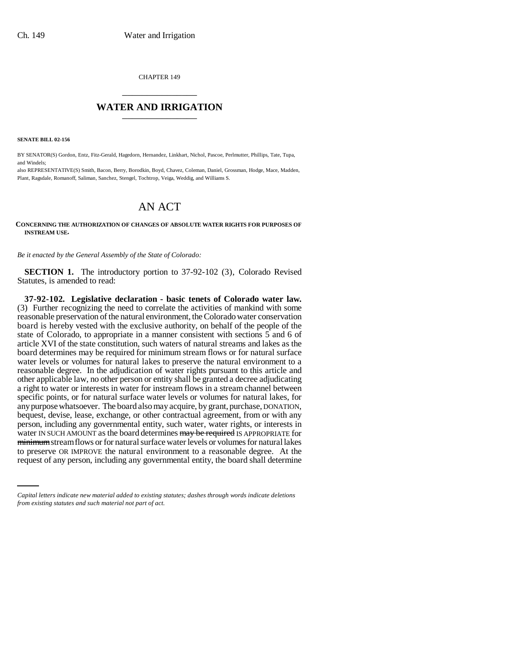CHAPTER 149 \_\_\_\_\_\_\_\_\_\_\_\_\_\_\_

## **WATER AND IRRIGATION** \_\_\_\_\_\_\_\_\_\_\_\_\_\_\_

**SENATE BILL 02-156**

BY SENATOR(S) Gordon, Entz, Fitz-Gerald, Hagedorn, Hernandez, Linkhart, Nichol, Pascoe, Perlmutter, Phillips, Tate, Tupa, and Windels;

also REPRESENTATIVE(S) Smith, Bacon, Berry, Borodkin, Boyd, Chavez, Coleman, Daniel, Grossman, Hodge, Mace, Madden, Plant, Ragsdale, Romanoff, Saliman, Sanchez, Stengel, Tochtrop, Veiga, Weddig, and Williams S.

## AN ACT

## **CONCERNING THE AUTHORIZATION OF CHANGES OF ABSOLUTE WATER RIGHTS FOR PURPOSES OF INSTREAM USE.**

*Be it enacted by the General Assembly of the State of Colorado:*

**SECTION 1.** The introductory portion to 37-92-102 (3), Colorado Revised Statutes, is amended to read:

minimum stream flows or for natural surface water levels or volumes for natural lakes **37-92-102. Legislative declaration - basic tenets of Colorado water law.** (3) Further recognizing the need to correlate the activities of mankind with some reasonable preservation of the natural environment, the Colorado water conservation board is hereby vested with the exclusive authority, on behalf of the people of the state of Colorado, to appropriate in a manner consistent with sections 5 and 6 of article XVI of the state constitution, such waters of natural streams and lakes as the board determines may be required for minimum stream flows or for natural surface water levels or volumes for natural lakes to preserve the natural environment to a reasonable degree. In the adjudication of water rights pursuant to this article and other applicable law, no other person or entity shall be granted a decree adjudicating a right to water or interests in water for instream flows in a stream channel between specific points, or for natural surface water levels or volumes for natural lakes, for any purpose whatsoever. The board also may acquire, by grant, purchase, DONATION, bequest, devise, lease, exchange, or other contractual agreement, from or with any person, including any governmental entity, such water, water rights, or interests in water IN SUCH AMOUNT as the board determines may be required IS APPROPRIATE for to preserve OR IMPROVE the natural environment to a reasonable degree. At the request of any person, including any governmental entity, the board shall determine

*Capital letters indicate new material added to existing statutes; dashes through words indicate deletions from existing statutes and such material not part of act.*